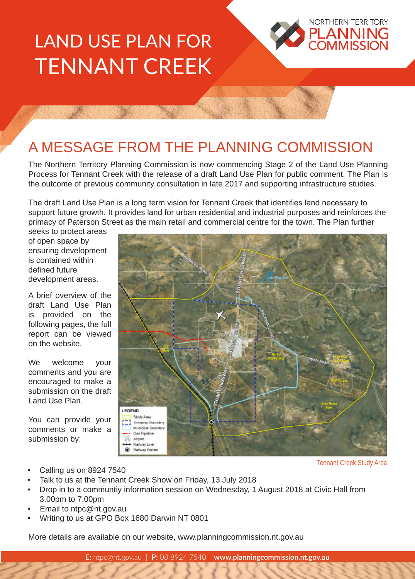# LAND USE PLAN FOR TENNANT CREEK



## A MESSAGE FROM THE PLANNING COMMISSION

The Northern Territory Planning Commission is now commencing Stage 2 of the Land Use Planning Process for Tennant Creek with the release of a draft Land Use Plan for public comment. The Plan is the outcome of previous community consultation in late 2017 and supporting infrastructure studies.

The draft Land Use Plan is a long term vision for Tennant Creek that identifies land necessary to support future growth. It provides land for urban residential and industrial purposes and reinforces the primacy of Paterson Street as the main retail and commercial centre for the town. The Plan further

seeks to protect areas of open space by ensuring development is contained within defined future development areas.

A brief overview of the draft Land Use Plan is provided on the following pages, the full report can be viewed on the website.

We welcome your comments and you are encouraged to make a submission on the draft Land Use Plan.

You can provide your comments or make a submission by:



Tennant Creek Study Area

- Calling us on 8924 7540
- Talk to us at the Tennant Creek Show on Friday, 13 July 2018
- Drop in to a communtiy information session on Wednesday, 1 August 2018 at Civic Hall from 3.00pm to 7.00pm
- Email to ntpc@nt.gov.au
- Writing to us at GPO Box 1680 Darwin NT 0801

More details are available on our website, www.planningcommission.nt.gov.au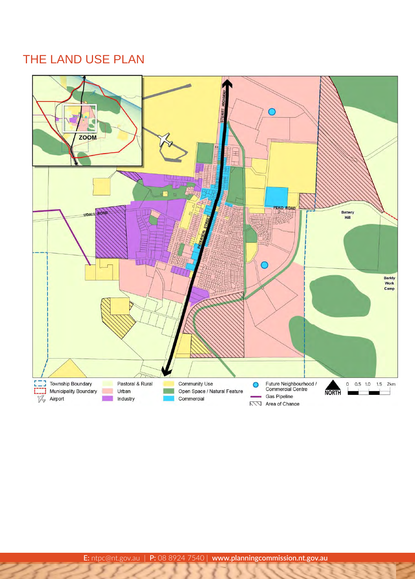### THE LAND USE PLAN

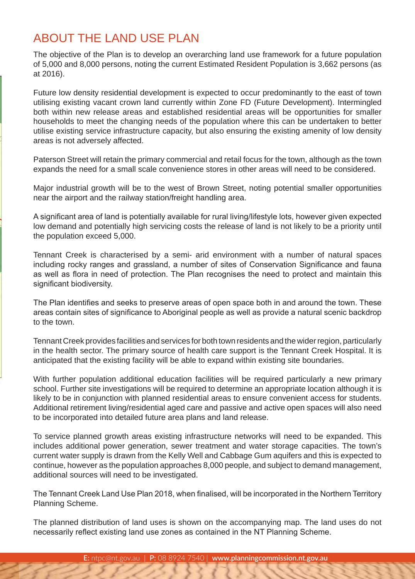#### ABOUT THE LAND USE PLAN

The objective of the Plan is to develop an overarching land use framework for a future population of 5,000 and 8,000 persons, noting the current Estimated Resident Population is 3,662 persons (as at 2016).

Future low density residential development is expected to occur predominantly to the east of town utilising existing vacant crown land currently within Zone FD (Future Development). Intermingled both within new release areas and established residential areas will be opportunities for smaller households to meet the changing needs of the population where this can be undertaken to better utilise existing service infrastructure capacity, but also ensuring the existing amenity of low density areas is not adversely affected.

Paterson Street will retain the primary commercial and retail focus for the town, although as the town expands the need for a small scale convenience stores in other areas will need to be considered.

Major industrial growth will be to the west of Brown Street, noting potential smaller opportunities near the airport and the railway station/freight handling area.

A significant area of land is potentially available for rural living/lifestyle lots, however given expected low demand and potentially high servicing costs the release of land is not likely to be a priority until the population exceed 5,000.

Tennant Creek is characterised by a semi- arid environment with a number of natural spaces including rocky ranges and grassland, a number of sites of Conservation Significance and fauna as well as flora in need of protection. The Plan recognises the need to protect and maintain this significant biodiversity.

The Plan identifies and seeks to preserve areas of open space both in and around the town. These areas contain sites of significance to Aboriginal people as well as provide a natural scenic backdrop to the town.

Tennant Creek provides facilities and services for both town residents and the wider region, particularly in the health sector. The primary source of health care support is the Tennant Creek Hospital. It is anticipated that the existing facility will be able to expand within existing site boundaries.

With further population additional education facilities will be required particularly a new primary school. Further site investigations will be required to determine an appropriate location although it is likely to be in conjunction with planned residential areas to ensure convenient access for students. Additional retirement living/residential aged care and passive and active open spaces will also need to be incorporated into detailed future area plans and land release.

To service planned growth areas existing infrastructure networks will need to be expanded. This includes additional power generation, sewer treatment and water storage capacities. The town's current water supply is drawn from the Kelly Well and Cabbage Gum aquifers and this is expected to continue, however as the population approaches 8,000 people, and subject to demand management, additional sources will need to be investigated.

The Tennant Creek Land Use Plan 2018, when finalised, will be incorporated in the Northern Territory Planning Scheme.

The planned distribution of land uses is shown on the accompanying map. The land uses do not necessarily reflect existing land use zones as contained in the NT Planning Scheme.